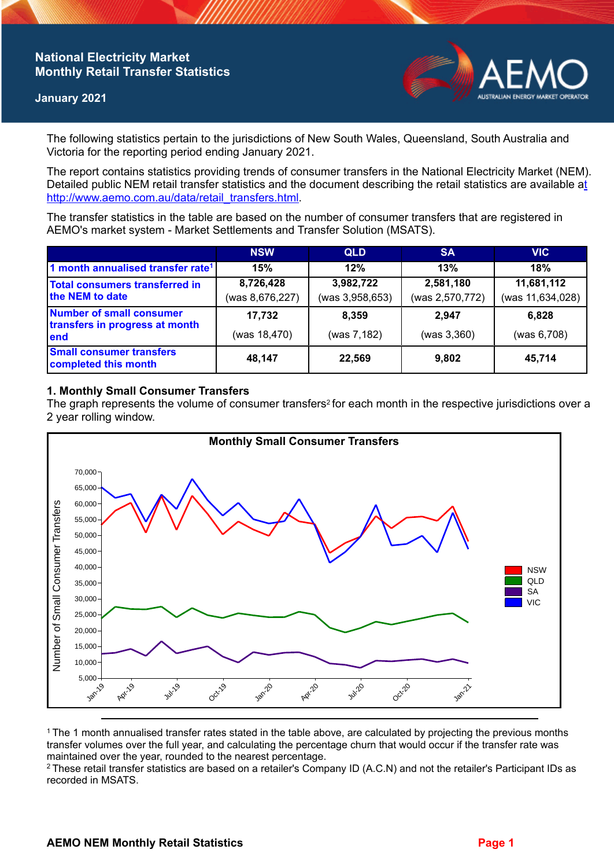# **National Electricity Market Monthly Retail Transfer Statistics**

### **January 2021**



The following statistics pertain to the jurisdictions of New South Wales, Queensland, South Australia and Victoria for the reporting period ending January 2021.

The report contains statistics providing trends of consumer transfers in the National Electricity Market (NEM). Detailed public NEM retail transfer statistics and the document describing the retail statistics are available a[t](http://www.aemo.com.au/data/retail_transfers.html)  http://www.aemo.com.au/data/retail\_transfers.html

The transfer statistics in the table are based on the number of consumer transfers that are registered in AEMO's market system - Market Settlements and Transfer Solution (MSATS).

|                                                                    | <b>NSW</b>                   | <b>QLD</b>                   | <b>SA</b>                    | <b>VIC</b>                     |
|--------------------------------------------------------------------|------------------------------|------------------------------|------------------------------|--------------------------------|
| 1 month annualised transfer rate <sup>1</sup>                      | 15%                          | 12%                          | 13%                          | 18%                            |
| Total consumers transferred in<br>the NEM to date                  | 8,726,428<br>(was 8,676,227) | 3,982,722<br>(was 3,958,653) | 2,581,180<br>(was 2,570,772) | 11,681,112<br>(was 11,634,028) |
| Number of small consumer<br>transfers in progress at month<br>lend | 17,732<br>(was 18,470)       | 8.359<br>(was 7,182)         | 2.947<br>(was 3,360)         | 6,828<br>(was 6,708)           |
| <b>Small consumer transfers</b><br>completed this month            | 48,147                       | 22,569                       | 9,802                        | 45,714                         |

## **1. Monthly Small Consumer Transfers**

The graph represents the volume of consumer transfers<sup>2</sup> for each month in the respective jurisdictions over a 2 year rolling window.



<sup>1</sup>The 1 month annualised transfer rates stated in the table above, are calculated by projecting the previous months transfer volumes over the full year, and calculating the percentage churn that would occur if the transfer rate was maintained over the year, rounded to the nearest percentage.

<sup>2</sup> These retail transfer statistics are based on a retailer's Company ID (A.C.N) and not the retailer's Participant IDs as recorded in MSATS.